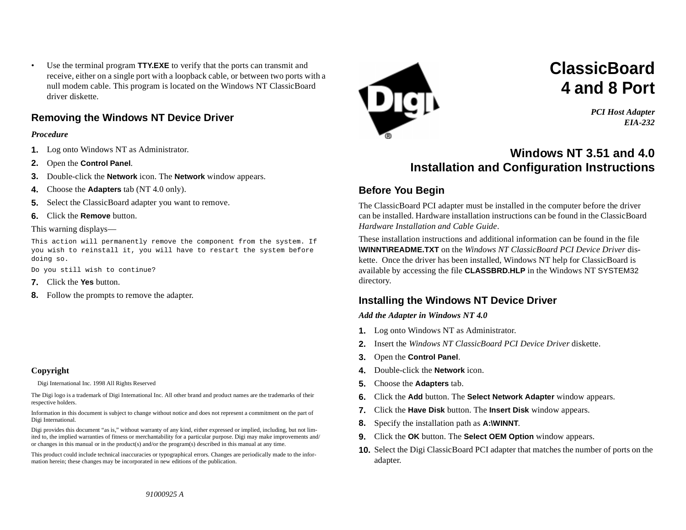• Use the terminal program **TTY.EXE** to verify that the ports can transmit and receive, either on a single port with a loopback cable, or between two ports with a null modem cable. This program is located on the Windows NT ClassicBoard driver diskette.

## **Removing the Windows NT Device Driver**

## *Procedure*

- **1.**Log onto Windows NT as Administrator.
- **2.**Open the **Control Panel**.
- **3.**Double-click the **Network** icon. The **Network** window appears.
- **4.**Choose the **Adapters** tab (NT 4.0 only).
- **5.**Select the ClassicBoard adapter you want to remove.
- **6.**Click the **Remove** button.

#### This warning displays—

This action will permanently remove the component from the system. If you wish to reinstall it, you will have to restart the system before doing so.

Do you still wish to continue?

- **7.**Click the **Yes** button.
- **8.** Follow the prompts to remove the adapter.

#### **Copyright**

Digi International Inc. 1998 All Rights Reserved

The Digi logo is a trademark of Digi International Inc. All other brand and product names are the trademarks of their respective holders.

Information in this document is subject to change without notice and does not represent a commitment on the part of Digi International.

Digi provides this document "as is," without warranty of any kind, either expressed or implied, including, but not limited to, the implied warranties of fitness or merchantability for a particular purpose. Digi may make improvements and/ or changes in this manual or in the product(s) and/or the program(s) described in this manual at any time.

This product could include technical inaccuracies or typographical errors. Changes are periodically made to the information herein; these changes may be incorporated in new editions of the publication.



# **ClassicBoard4 and 8 Port**

*PCI Host Adapter EIA-232*

## **Windows NT 3.51 and 4.0Installation and Configuration Instructions**

## **Before You Begin**

The ClassicBoard PCI adapter must be installed in the computer before the driver can be installed. Hardware installation instructions can be found in the ClassicBoard *Hardware Installation and Cable Guide*.

These installation instructions and additional information can be found in the file **\WINNT\README.TXT** on the *Windows NT ClassicBoard PCI Device Driver* diskette. Once the driver has been installed, Windows NT help for ClassicBoard is available by accessing the file **CLASSBRD.HLP** in the Windows NT SYSTEM32 directory.

## **Installing the Windows NT Device Driver**

*Add the Adapter in Windows NT 4.0*

- **1.** Log onto Windows NT as Administrator.
- **2.** Insert the *Windows NT ClassicBoard PCI Device Driver* diskette.
- **3.** Open the **Control Panel**.
- **4.** Double-click the **Network** icon.
- **5.**Choose the **Adapters** tab.
- **6.**Click the **Add** button. The **Select Network Adapter** window appears.
- **7.**Click the **Have Disk** button. The **Insert Disk** window appears.
- **8.**Specify the installation path as **A:\WINNT**.
- **9.** Click the **OK** button. The **Select OEM Option** window appears.
- **10.** Select the Digi ClassicBoard PCI adapter that matches the number of ports on the adapter.